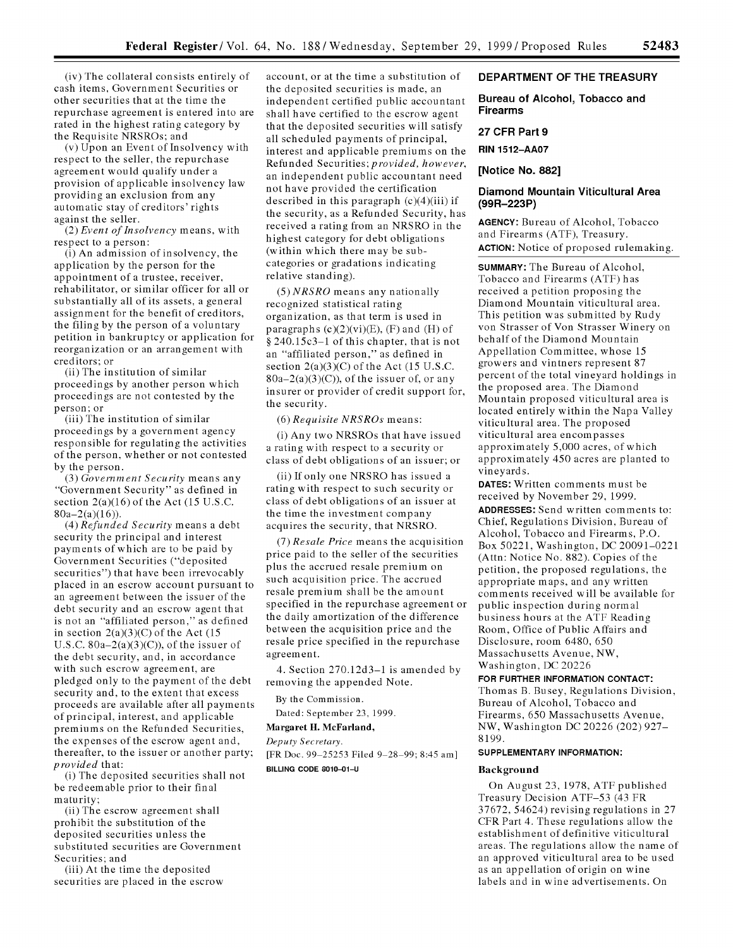(iv) The collateral consists entirely of cash items, Government Securities or other securities that at the time the repurchase agreement is entered into are rated in the highest rating category by the Requisite NRSROs; and

(v) Upon an Event of Insolvency with respect to the seller, the repurchase agreement would qualify under a provision of applicable insolvency law providing an exclusion from any automatic stay of creditors' rights against the seller.

(2) *Event of Insolvency* means, with respect to a person:

(i) An admission of insolvency, the application by the person for the appointment of a trustee, receiver, rehabilitator, or similar officer for all or substantially all of its assets, a general assignment for the benefit of creditors, the filing by the person of a voluntary petition in bankruptcy or application for reorganization or an arrangement with creditors; or

(ii) The institution of similar proceedings by another person which proceedings are not contested by the person; or

(iii) The institution of similar proceedings by a government agency responsible for regulating the activities of the person, whether or not contested by the person.

(3) *Government Security* means any "Government Security" as defined in section  $2(a)(16)$  of the Act (15 U.S.C.  $80a - 2(a)(16)$ .

(4) *Refunded Security* means a debt security the principal and interest payments of which are to be paid by Government Securities ("deposited securities") that have been irrevocably placed in an escrow account pursuant to an agreement between the issuer of the debt security and an escrow agent that is not an "affiliated person," as defined in section  $2(a)(3)(C)$  of the Act (15 U.S.C.  $80a-2(a)(3)(C)$ , of the issuer of the debt security, and, in accordance with such escrow agreement, are pledged only to the payment of the debt security and, to the extent that excess proceeds are available after all payments of principal, interest, and applicable premiums on the Refunded Securities, the expenses of the escrow agent and, thereafter, to the issuer or another party; *provided* that:

(i) The deposited securities shall not be redeemable prior to their final maturity;

(ii) The escrow agreement shall prohibit the substitution of the deposited securities unless the substituted securities are Government Securities; and

(iii) At the time the deposited securities are placed in the escrow account, or at the time a substitution of the deposited securities is made, an independent certified public accountant shall have certified to the escrow agent that the deposited securities will satisfy all scheduled payments of principal, interest and applicable premiums on the Refunded Securities; *provided, however,* an independent public accountant need not have provided the certification described in this paragraph  $(c)(4)(iii)$  if the security, as a Refunded Security, has received a rating from an NRSRO in the highest category for debt obligations (within which there may be subcategories or gradations indicating relative standing).

 $(5)$  NRSRO means any nationally recognized statistical rating organization, as that term is used in paragraphs  $(c)(2)(vi)(E)$ ,  $(F)$  and  $(H)$  of **§** 240.15c3-1 of this chapter, that is not an "affiliated person," as defined in section  $2(a)(3)(C)$  of the Act (15 U.S.C.  $80a-2(a)(3)(C)$ , of the issuer of, or any insurer or provider of credit support for, the security.

(6) *Requisite NRSROs* means:

(i) Any two NRSROs that have issued a rating with respect to a security or class of debt obligations of an issuer; or

(ii) If only one NRSRO has issued a rating with respect to such security or class of debt obligations of an issuer at the time the investment company acquires the security, that NRSRO.

(7) *Resale Price* means the acquisition price paid to the seller of the securities plus the accrued resale premium on such acquisition price. The accrued resale premium shall be the amount specified in the repurchase agreement or the daily amortization of the difference between the acquisition price and the resale price specified in the repurchase agreement.

4. Section 270.12d3-1 is amended by removing the appended Note.

By the Commission.

Dated: September 23, 1999.

**Margaret H. McFarland,**

*Deputy Secretary.*

[FR Doc. 99-25253 Filed 9-28-99; 8:45 am] **BILLING CODE 8010-01-U**

# **DEPARTMENT OF THE TREASURY**

# **Bureau of Alcohol, Tobacco and Firearms**

# **27 CFR Part 9**

**RIN 1512-AA07**

**[Notice No. 882]**

# **Diamond Mountain Viticultural Area (99R-223P)**

**AGENCY:** Bureau of Alcohol, Tobacco and Firearms (ATF), Treasury. **ACTION:** Notice of proposed rulemaking.

SUMMARY: The Bureau of Alcohol, Tobacco and Firearms (ATF) has received a petition proposing the Diamond Mountain viticultural area. This petition was submitted by Rudy von Strasser of Von Strasser Winery on behalf of the Diamond Mountain Appellation Committee, whose 15 growers and vintners represent 87 percent of the total vineyard holdings in the proposed area. The Diamond Mountain proposed viticultural area is located entirely within the Napa Valley viticultural area. The proposed viticultural area encompasses approximately 5,000 acres, of which approximately 450 acres are planted to vineyards.

**DATES:** Written comments must be received by November 29, 1999. **ADDRESSES:** Send written comments to: Chief, Regulations Division, Bureau of Alcohol, Tobacco and Firearms, P.O. Box 50221, Washington, DC 20091-0221 (Attn: Notice No. 882). Copies of the petition, the proposed regulations, the appropriate maps, and any written comments received will be available for public inspection during normal business hours at the ATF Reading Room, Office of Public Affairs and Disclosure, room 6480, 650 Massachusetts Avenue, NW, Washington, DC 20226

**FOR FURTHER INFORMATION CONTACT:**

Thomas B. Busey, Regulations Division, Bureau of Alcohol, Tobacco and Firearms, 650 Massachusetts Avenue, NW, Washington DC 20226 (202) 927- 8199.

#### **SUPPLEMENTARY INFORMATION:**

#### **Background**

On August **23, 1978, ATF** published Treasury Decision **ATF-53** (43 FR **37672,** 54624) revising regulations in **27** CFR Part 4. These regulations allow the establishment of definitive viticultural areas. The regulations allow the name of an approved viticultural area to be used as an appellation of origin on wine labels and in wine advertisements. On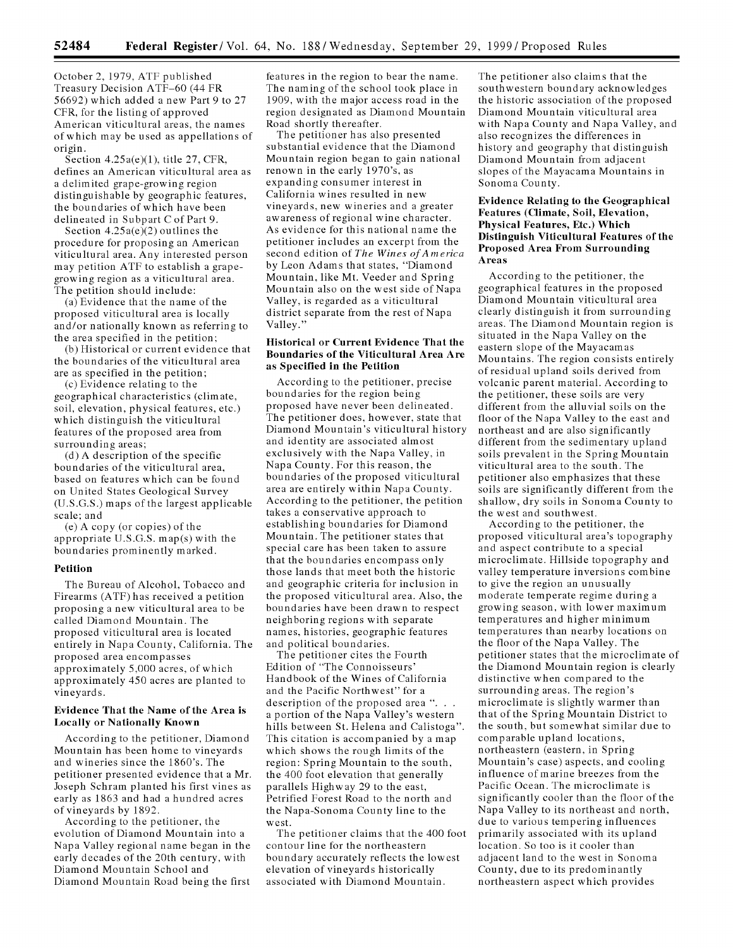October 2, 1979, ATF published Treasury Decision ATF-60 (44 FR 56692) which added a new Part 9 to 27 CFR, for the listing of approved American viticultural areas, the names of which may be used as appellations of origin.

Section 4.25a(e)(1), title 27, CFR, defines an American viticultural area as a delimited grape-growing region distinguishable by geographic features, the boundaries of which have been delineated in Subpart C of Part 9.

Section  $4.25a(e)(2)$  outlines the procedure for proposing an American viticultural area. Any interested person may petition ATF to establish a grapegrowing region as a viticultural area. The petition should include:

(a) Evidence that the name of the proposed viticultural area is locally and/or nationally known as referring to the area specified in the petition;

(b) Historical or current evidence that the boundaries of the viticultural area are as specified in the petition;

(c) Evidence relating to the geographical characteristics (climate, soil, elevation, physical features, etc.) which distinguish the viticultural features of the proposed area from surrounding areas;

(d) A description of the specific boundaries of the viticultural area, based on features which can be found on United States Geological Survey (U.S.G.S.) maps of the largest applicable scale; and

(e) A copy (or copies) of the appropriate U.S.G.S. map(s) with the boundaries prominently marked.

# Petition

The Bureau of Alcohol, Tobacco and Firearms (ATF) has received a petition proposing a new viticultural area to be called Diamond Mountain. The proposed viticultural area is located entirely in Napa County, California. The proposed area encompasses approximately 5,000 acres, of which approximately 450 acres are planted to vineyards.

# Evidence That the Name of the Area is Locally or Nationally Known

According to the petitioner, Diamond Mountain has been home to vineyards and wineries since the 1860's. The petitioner presented evidence that a Mr. Joseph Schram planted his first vines as early as **1863** and had a hundred acres of vineyards **by** 1892.

According to the petitioner, the evolution of Diamond Mountain into a Napa Valley regional name began in the early decades of the 20th century, with Diamond Mountain School and Diamond Mountain Road being the first features in the region to bear the name. The naming of the school took place in 1909, with the major access road in the region designated as Diamond Mountain Road shortly thereafter.

The petitioner has also presented substantial evidence that the Diamond Mountain region began to gain national renown in the early 1970's, as expanding consumer interest in California wines resulted in new vineyards, new wineries and a greater awareness of regional wine character. As evidence for this national name the petitioner includes an excerpt from the second edition of *The Wines of America* by Leon Adams that states, "Diamond Mountain, like Mt. Veeder and Spring Mountain also on the west side of Napa Valley, is regarded as a viticultural district separate from the rest of Napa Valley."

### Historical or Current Evidence That the Boundaries of the Viticultural Area Are as Specified in the Petition

According to the petitioner, precise boundaries for the region being proposed have never been delineated. The petitioner does, however, state that Diamond Mountain's viticultural history and identity are associated almost exclusively with the Napa Valley, in Napa County. For this reason, the boundaries of the proposed viticultural area are entirely within Napa County. According to the petitioner, the petition takes a conservative approach to establishing boundaries for Diamond Mountain. The petitioner states that special care has been taken to assure that the boundaries encompass only those lands that meet both the historic and geographic criteria for inclusion in the proposed viticultural area. Also, the boundaries have been drawn to respect neighboring regions with separate names, histories, geographic features and political boundaries.

The petitioner cites the Fourth Edition of "The Connoisseurs' Handbook of the Wines of California and the Pacific Northwest" for a description of the proposed area "... a portion of the Napa Valley's western hills between St. Helena and Calistoga". This citation is accompanied **by** a map which shows the rough limits of the region: Spring Mountain to the south, the 400 foot elevation that generally parallels Highway 29 to the east, Petrified Forest Road to the north and the Napa-Sonoma County line to the west.

The petitioner claims that the 400 foot contour line for the northeastern boundary accurately reflects the lowest elevation of vineyards historically associated with Diamond Mountain.

The petitioner also claims that the southwestern boundary acknowledges the historic association of the proposed Diamond Mountain viticultural area with Napa County and Napa Valley, and also recognizes the differences in history and geography that distinguish Diamond Mountain from adjacent slopes of the Mayacama Mountains in Sonoma County.

# Evidence Relating to the Geographical Features (Climate, Soil, Elevation, Physical Features, Etc.) Which Distinguish Viticultural Features of the Proposed Area From Surrounding Areas

According to the petitioner, the geographical features in the proposed Diamond Mountain viticultural area clearly distinguish it from surrounding areas. The Diamond Mountain region is situated in the Napa Valley on the eastern slope of the Mayacamas Mountains. The region consists entirely of residual upland soils derived from volcanic parent material. According to the petitioner, these soils are very different from the alluvial soils on the floor of the Napa Valley to the east and northeast and are also significantly different from the sedimentary upland soils prevalent in the Spring Mountain viticultural area to the south. The petitioner also emphasizes that these soils are significantly different from the shallow, dry soils in Sonoma County to the west and southwest.

According to the petitioner, the proposed viticultural area's topography and aspect contribute to a special microclimate. Hillside topography and valley temperature inversions combine to give the region an unusually moderate temperate regime during a growing season, with lower maximum temperatures and higher minimum temperatures than nearby locations on the floor of the Napa Valley. The petitioner states that the microclimate of the Diamond Mountain region is clearly distinctive when compared to the surrounding areas. The region's microclimate is slightly warmer than that of the Spring Mountain District to the south, but somewhat similar due to comparable upland locations, northeastern (eastern, in Spring Mountain's case) aspects, and cooling influence of marine breezes from the Pacific Ocean. The microclimate is significantly cooler than the floor of the Napa Valley to its northeast and north, due to various tempering influences primarily associated with its upland location. So too is it cooler than adjacent land to the west in Sonoma County, due to its predominantly northeastern aspect which provides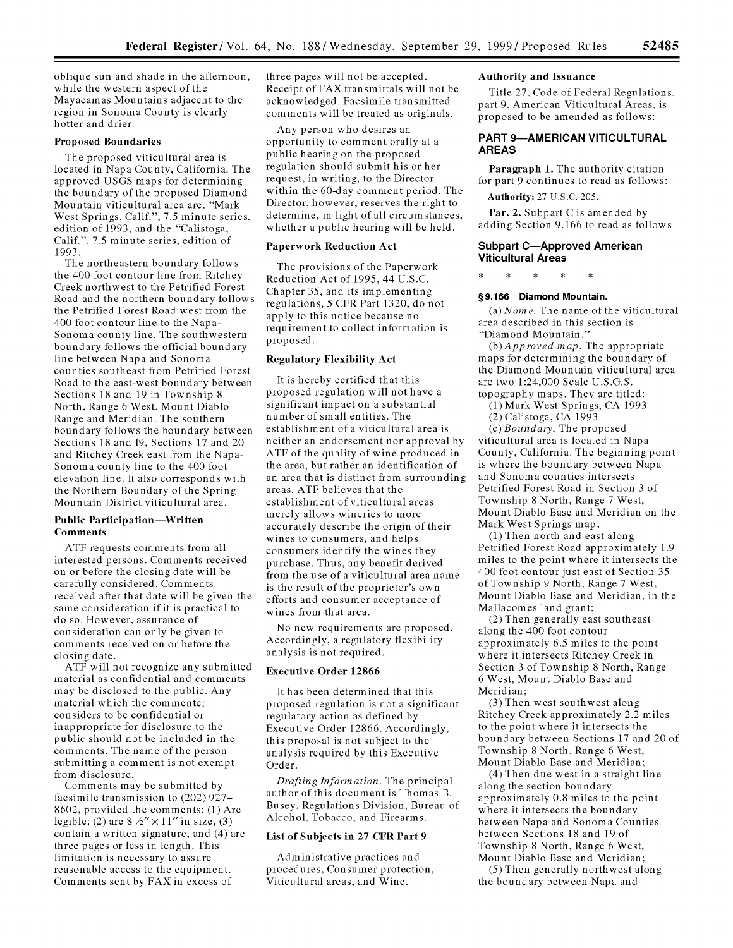oblique sun and shade in the afternoon, while the western aspect of the Mayacamas Mountains adjacent to the region in Sonoma County is clearly hotter and drier.

#### Proposed Boundaries

The proposed viticultural area is located in Napa County, California. The approved USGS maps for determining the boundary of the proposed Diamond Mountain viticultural area are, "Mark West Springs, Calif.", 7.5 minute series, edition of 1993, and the "Calistoga, Calif.", 7.5 minute series, edition of 1993.

The northeastern boundary follows the 400 foot contour line from Ritchey Creek northwest to the Petrified Forest Road and the northern boundary follows the Petrified Forest Road west from the 400 foot contour line to the Napa-Sonoma county line. The southwestern boundary follows the official boundary line between Napa and Sonoma counties southeast from Petrified Forest Road to the east-west boundary between Sections 18 and 19 in Township 8 North, Range 6 West, Mount Diablo Range and Meridian. The southern boundary follows the boundary between Sections 18 and 19, Sections 17 and 20 and Ritchey Creek east from the Napa-Sonoma county line to the 400 foot elevation line. It also corresponds with the Northern Boundary of the Spring Mountain District viticultural area.

### **Public Participation-Written Comments**

**ATF** requests comments from all interested persons. Comments received on or before the closing date will be carefully considered. Comments received after that date will be given the same consideration if it is practical to do so. However, assurance of consideration can only be given to comments received on or before the closing date.

ATF will not recognize any submitted material as confidential and comments may be disclosed to the public. Any material which the commenter considers to be confidential or inappropriate for disclosure to the public should not be included in the comments. The name of the person submitting a comment is not exempt from disclosure.

Comments may be submitted by facsimile transmission to (202) 927- 8602, provided the comments: (1) Are legible; (2) are **81/2"** *x 11"* in size, (3) contain a written signature, and (4) are three pages or less in length. This limitation is necessary to assure reasonable access to the equipment. Comments sent by FAX in excess of

three pages will not be accepted. Receipt of FAX transmittals will not be acknowledged. Facsimile transmitted comments will be treated as originals.

Any person who desires an opportunity to comment orally at a public hearing on the proposed regulation should submit his or her request, in writing, to the Director within the 60-day comment period. The Director, however, reserves the right to determine, in light of all circumstances, whether a public hearing will be held.

## **Paperwork Reduction Act**

The provisions of the Paperwork Reduction Act of 1995, 44 U.S.C. Chapter **35,** and its implementing regulations, 5 CFR Part 1320, do not apply to this notice because no requirement to collect information is proposed.

### **Regulatory Flexibility Act**

It is hereby certified that this proposed regulation will not have a significant impact on a substantial number of small entities. The establishment of a viticultural area is neither an endorsement nor approval by ATF of the quality of wine produced in the area, but rather an identification of an area that is distinct from surrounding areas. ATF believes that the establishment of viticultural areas merely allows wineries to more accurately describe the origin of their wines to consumers, and helps consumers identify the wines they purchase. Thus, any benefit derived from the use of a viticultural area name is the result of the proprietor's own efforts and consumer acceptance of wines from that area.

No new requirements are proposed. Accordingly, a regulatory flexibility analysis is not required.

# **Executive Order 12866**

It has been determined that this proposed regulation is not a significant regulatory action as defined **by** Executive Order 12866. Accordingly, this proposal is not subject to the analysis required **by** this Executive Order.

*Drafting Information.* The principal author of this document is Thomas B. Busey, Regulations Division, Bureau of Alcohol, Tobacco, and Firearms.

#### **List of Subjects in 27 CFR Part 9**

Administrative practices and procedures, Consumer protection, Viticultural areas, and Wine.

# **Authority and Issuance**

Title 27, Code of Federal Regulations, part 9, American Viticultural Areas, is proposed to be amended as follows:

## **PART 9-AMERICAN VITICULTURAL AREAS**

**Paragraph 1.** The authority citation for part 9 continues to read as follows:

#### Authority: 27 U.S.C. 205.

Par. 2. Subpart C is amended by adding Section 9.166 to read as follows

### **Subpart C-Approved American Viticultural Areas**

### **§9.166 Diamond Mountain.**

*(a) Name.* The name of the viticultural area described in this section is "Diamond Mountain."

*(b)Approved map.* The appropriate maps for determining the boundary of the Diamond Mountain viticultural area are two 1:24,000 Scale U.S.G.S. topography maps. They are titled:

(1) Mark West Springs, CA 1993

(2) Calistoga, CA 1993

(c) *Boundary.* The proposed viticultural area is located in Napa County, California. The beginning point is where the boundary between Napa and Sonoma counties intersects Petrified Forest Road in Section 3 of Township 8 North, Range 7 West, Mount Diablo Base and Meridian on the Mark West Springs map;

(1) Then north and east along Petrified Forest Road approximately 1.9 miles to the point where it intersects the 400 foot contour just east of Section 35 of Township 9 North, Range 7 West, Mount Diablo Base and Meridian, in the Mallacomes land grant;

(2) Then generally east southeast along the 400 foot contour approximately 6.5 miles to the point where it intersects Ritchey Creek in Section 3 of Township 8 North, Range 6 West, Mount Diablo Base and Meridian;

(3) Then west southwest along Ritchey Creek approximately 2.2 miles to the point where it intersects the boundary between Sections 17 and 20 of Township 8 North, Range 6 West, Mount Diablo Base and Meridian;

(4) Then due west in a straight line along the section boundary approximately 0.8 miles to the point where it intersects the boundary between Napa and Sonoma Counties between Sections 18 and 19 of Township 8 North, Range 6 West, Mount Diablo Base and Meridian;

(5) Then generally northwest along the boundary between Napa and